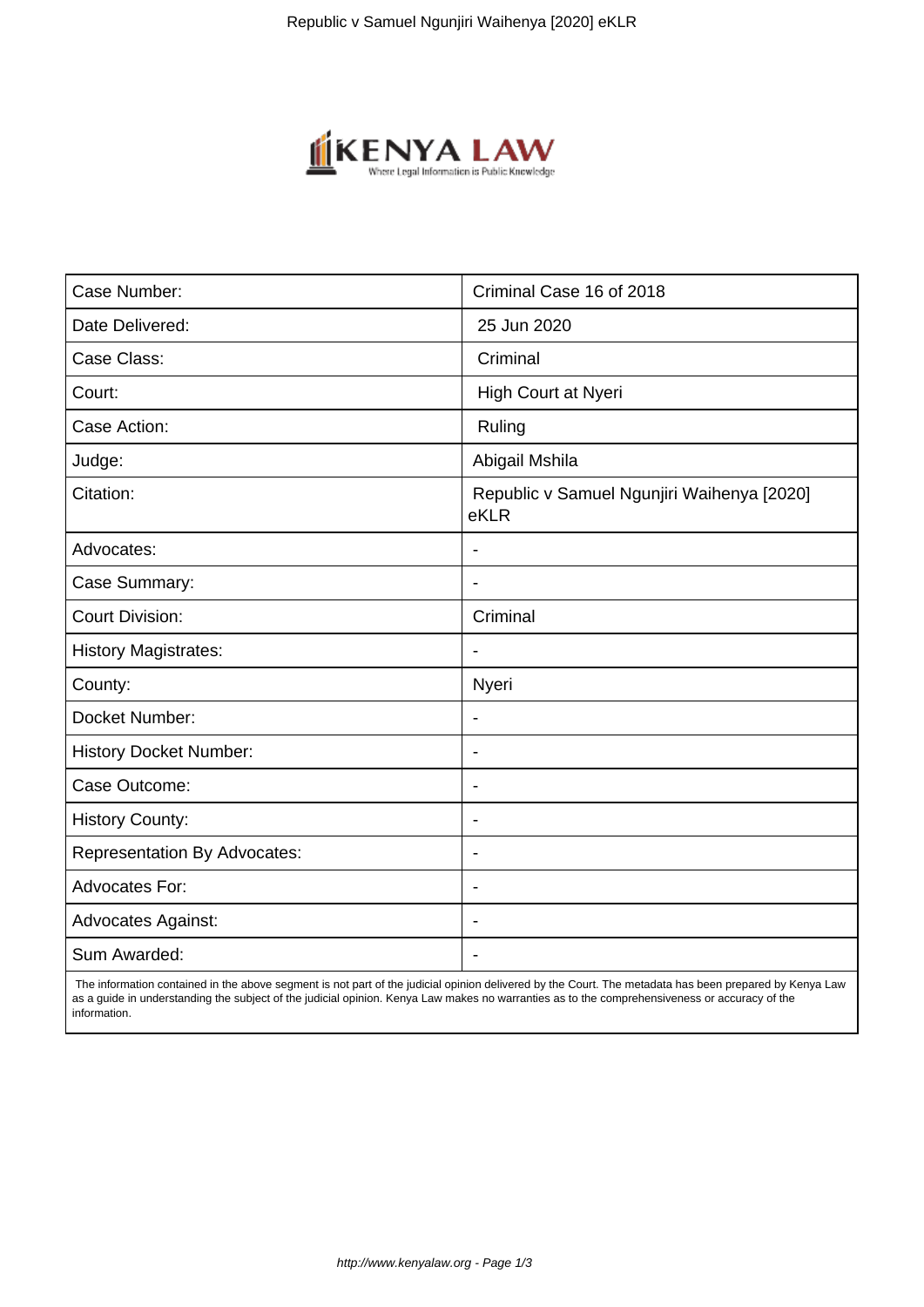

| Case Number:                        | Criminal Case 16 of 2018                           |
|-------------------------------------|----------------------------------------------------|
| Date Delivered:                     | 25 Jun 2020                                        |
| Case Class:                         | Criminal                                           |
| Court:                              | High Court at Nyeri                                |
| Case Action:                        | Ruling                                             |
| Judge:                              | Abigail Mshila                                     |
| Citation:                           | Republic v Samuel Ngunjiri Waihenya [2020]<br>eKLR |
| Advocates:                          |                                                    |
| Case Summary:                       |                                                    |
| <b>Court Division:</b>              | Criminal                                           |
| <b>History Magistrates:</b>         | $\blacksquare$                                     |
| County:                             | Nyeri                                              |
| Docket Number:                      |                                                    |
| <b>History Docket Number:</b>       | $\blacksquare$                                     |
| Case Outcome:                       |                                                    |
| <b>History County:</b>              | $\blacksquare$                                     |
| <b>Representation By Advocates:</b> | $\blacksquare$                                     |
| <b>Advocates For:</b>               | $\overline{\phantom{a}}$                           |
| <b>Advocates Against:</b>           |                                                    |
| Sum Awarded:                        |                                                    |

 The information contained in the above segment is not part of the judicial opinion delivered by the Court. The metadata has been prepared by Kenya Law as a guide in understanding the subject of the judicial opinion. Kenya Law makes no warranties as to the comprehensiveness or accuracy of the information.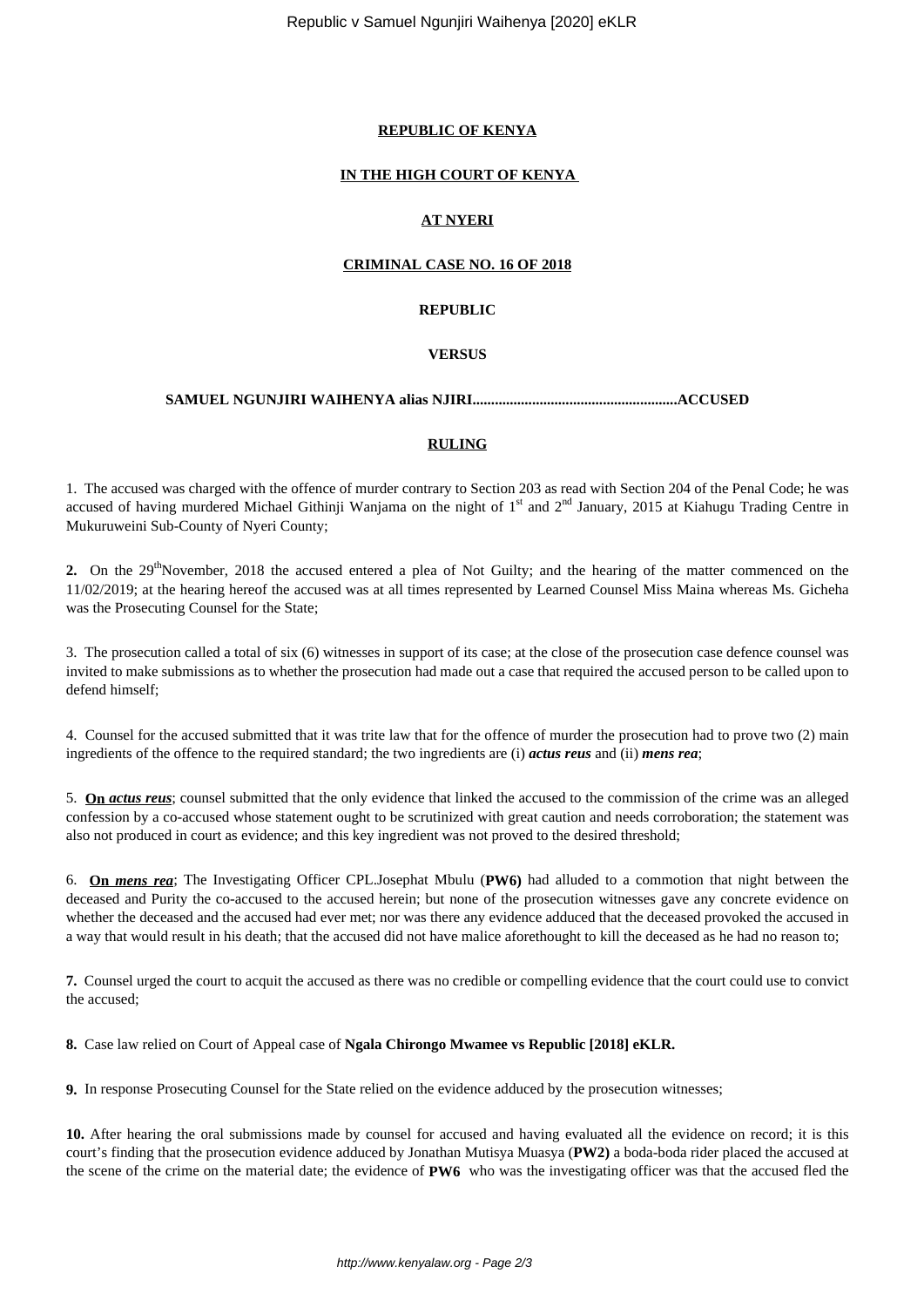#### **REPUBLIC OF KENYA**

### **IN THE HIGH COURT OF KENYA**

# **AT NYERI**

## **CRIMINAL CASE NO. 16 OF 2018**

### **REPUBLIC**

### **VERSUS**

### **SAMUEL NGUNJIRI WAIHENYA alias NJIRI.......................................................ACCUSED**

#### **RULING**

1. The accused was charged with the offence of murder contrary to Section 203 as read with Section 204 of the Penal Code; he was accused of having murdered Michael Githinji Wanjama on the night of 1<sup>st</sup> and 2<sup>nd</sup> January, 2015 at Kiahugu Trading Centre in Mukuruweini Sub-County of Nyeri County;

2. On the 29<sup>th</sup>November, 2018 the accused entered a plea of Not Guilty; and the hearing of the matter commenced on the 11/02/2019; at the hearing hereof the accused was at all times represented by Learned Counsel Miss Maina whereas Ms. Gicheha was the Prosecuting Counsel for the State;

3. The prosecution called a total of six (6) witnesses in support of its case; at the close of the prosecution case defence counsel was invited to make submissions as to whether the prosecution had made out a case that required the accused person to be called upon to defend himself;

4. Counsel for the accused submitted that it was trite law that for the offence of murder the prosecution had to prove two (2) main ingredients of the offence to the required standard; the two ingredients are (i) *actus reus* and (ii) *mens rea*;

5. **On** *actus reus*; counsel submitted that the only evidence that linked the accused to the commission of the crime was an alleged confession by a co-accused whose statement ought to be scrutinized with great caution and needs corroboration; the statement was also not produced in court as evidence; and this key ingredient was not proved to the desired threshold;

6. **On** *mens rea*; The Investigating Officer CPL.Josephat Mbulu (**PW6)** had alluded to a commotion that night between the deceased and Purity the co-accused to the accused herein; but none of the prosecution witnesses gave any concrete evidence on whether the deceased and the accused had ever met; nor was there any evidence adduced that the deceased provoked the accused in a way that would result in his death; that the accused did not have malice aforethought to kill the deceased as he had no reason to;

**7.** Counsel urged the court to acquit the accused as there was no credible or compelling evidence that the court could use to convict the accused;

**8.** Case law relied on Court of Appeal case of **Ngala Chirongo Mwamee vs Republic [2018] eKLR.**

**9.** In response Prosecuting Counsel for the State relied on the evidence adduced by the prosecution witnesses;

**10.** After hearing the oral submissions made by counsel for accused and having evaluated all the evidence on record; it is this court's finding that the prosecution evidence adduced by Jonathan Mutisya Muasya (**PW2)** a boda-boda rider placed the accused at the scene of the crime on the material date; the evidence of **PW6** who was the investigating officer was that the accused fled the